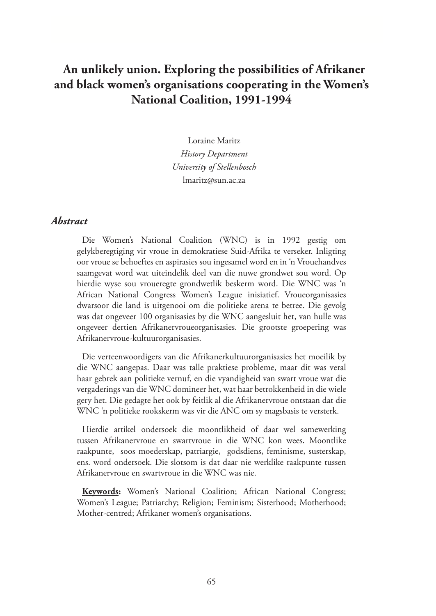# **An unlikely union. Exploring the possibilities of Afrikaner and black women's organisations cooperating in the Women's National Coalition, 1991-1994**

Loraine Maritz *History Department University of Stellenbosch* lmaritz@sun.ac.za

#### *Abstract*

Die Women's National Coalition (WNC) is in 1992 gestig om gelykberegtiging vir vroue in demokratiese Suid-Afrika te verseker. Inligting oor vroue se behoeftes en aspirasies sou ingesamel word en in 'n Vrouehandves saamgevat word wat uiteindelik deel van die nuwe grondwet sou word. Op hierdie wyse sou vroueregte grondwetlik beskerm word. Die WNC was 'n African National Congress Women's League inisiatief. Vroueorganisasies dwarsoor die land is uitgenooi om die politieke arena te betree. Die gevolg was dat ongeveer 100 organisasies by die WNC aangesluit het, van hulle was ongeveer dertien Afrikanervroueorganisasies. Die grootste groepering was Afrikanervroue-kultuurorganisasies.

Die verteenwoordigers van die Afrikanerkultuurorganisasies het moeilik by die WNC aangepas. Daar was talle praktiese probleme, maar dit was veral haar gebrek aan politieke vernuf, en die vyandigheid van swart vroue wat die vergaderings van die WNC domineer het, wat haar betrokkenheid in die wiele gery het. Die gedagte het ook by feitlik al die Afrikanervroue ontstaan dat die WNC 'n politieke rookskerm was vir die ANC om sy magsbasis te versterk.

Hierdie artikel ondersoek die moontlikheid of daar wel samewerking tussen Afrikanervroue en swartvroue in die WNC kon wees. Moontlike raakpunte, soos moederskap, patriargie, godsdiens, feminisme, susterskap, ens. word ondersoek. Die slotsom is dat daar nie werklike raakpunte tussen Afrikanervroue en swartvroue in die WNC was nie.

**Keywords:** Women's National Coalition; African National Congress; Women's League; Patriarchy; Religion; Feminism; Sisterhood; Motherhood; Mother-centred; Afrikaner women's organisations.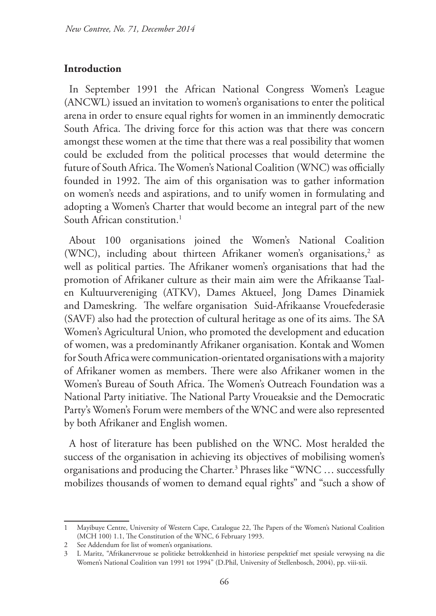## **Introduction**

In September 1991 the African National Congress Women's League (ANCWL) issued an invitation to women's organisations to enter the political arena in order to ensure equal rights for women in an imminently democratic South Africa. The driving force for this action was that there was concern amongst these women at the time that there was a real possibility that women could be excluded from the political processes that would determine the future of South Africa. The Women's National Coalition (WNC) was officially founded in 1992. The aim of this organisation was to gather information on women's needs and aspirations, and to unify women in formulating and adopting a Women's Charter that would become an integral part of the new South African constitution.<sup>1</sup>

About 100 organisations joined the Women's National Coalition (WNC), including about thirteen Afrikaner women's organisations, $2$  as well as political parties. The Afrikaner women's organisations that had the promotion of Afrikaner culture as their main aim were the Afrikaanse Taalen Kultuurvereniging (ATKV), Dames Aktueel, Jong Dames Dinamiek and Dameskring. The welfare organisation Suid-Afrikaanse Vrouefederasie (SAVF) also had the protection of cultural heritage as one of its aims. The SA Women's Agricultural Union, who promoted the development and education of women, was a predominantly Afrikaner organisation. Kontak and Women for South Africa were communication-orientated organisations with a majority of Afrikaner women as members. There were also Afrikaner women in the Women's Bureau of South Africa. The Women's Outreach Foundation was a National Party initiative. The National Party Vroueaksie and the Democratic Party's Women's Forum were members of the WNC and were also represented by both Afrikaner and English women.

A host of literature has been published on the WNC. Most heralded the success of the organisation in achieving its objectives of mobilising women's organisations and producing the Charter.3 Phrases like "WNC … successfully mobilizes thousands of women to demand equal rights" and "such a show of

<sup>1</sup> Mayibuye Centre, University of Western Cape, Catalogue 22, The Papers of the Women's National Coalition (MCH 100) 1.1, The Constitution of the WNC, 6 February 1993.

<sup>2</sup> See Addendum for list of women's organisations.

<sup>3</sup> L Maritz, "Afrikanervroue se politieke betrokkenheid in historiese perspektief met spesiale verwysing na die Women's National Coalition van 1991 tot 1994" (D.Phil, University of Stellenbosch, 2004), pp. viii-xii.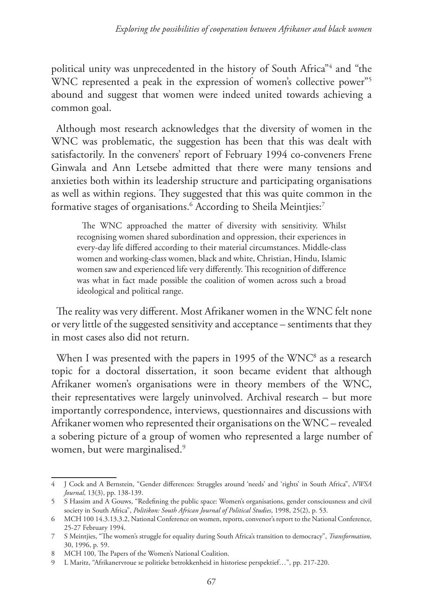political unity was unprecedented in the history of South Africa"4 and "the WNC represented a peak in the expression of women's collective power"<sup>5</sup> abound and suggest that women were indeed united towards achieving a common goal.

Although most research acknowledges that the diversity of women in the WNC was problematic, the suggestion has been that this was dealt with satisfactorily. In the conveners' report of February 1994 co-conveners Frene Ginwala and Ann Letsebe admitted that there were many tensions and anxieties both within its leadership structure and participating organisations as well as within regions. They suggested that this was quite common in the formative stages of organisations.<sup>6</sup> According to Sheila Meintjies:<sup>7</sup>

The WNC approached the matter of diversity with sensitivity. Whilst recognising women shared subordination and oppression, their experiences in every-day life differed according to their material circumstances. Middle-class women and working-class women, black and white, Christian, Hindu, Islamic women saw and experienced life very differently. This recognition of difference was what in fact made possible the coalition of women across such a broad ideological and political range.

The reality was very different. Most Afrikaner women in the WNC felt none or very little of the suggested sensitivity and acceptance – sentiments that they in most cases also did not return.

When I was presented with the papers in 1995 of the  $WNC^8$  as a research topic for a doctoral dissertation, it soon became evident that although Afrikaner women's organisations were in theory members of the WNC, their representatives were largely uninvolved. Archival research – but more importantly correspondence, interviews, questionnaires and discussions with Afrikaner women who represented their organisations on the WNC – revealed a sobering picture of a group of women who represented a large number of women, but were marginalised.<sup>9</sup>

<sup>4</sup> J Cock and A Bernstein, "Gender differences: Struggles around 'needs' and 'rights' in South Africa", *NWSA Journal*, 13(3), pp. 138-139.

<sup>5</sup> S Hassim and A Gouws, "Redefining the public space: Women's organisations, gender consciousness and civil society in South Africa", *Politikon: South African Journal of Political Studies*, 1998, 25(2), p. 53.

<sup>6</sup> MCH 100 14.3.13.3.2, National Conference on women, reports, convenor's report to the National Conference, 25-27 February 1994.

<sup>7</sup> S Meintjies, "The women's struggle for equality during South Africa's transition to democracy", *Transformation,* 30, 1996, p. 59.

<sup>8</sup> MCH 100, The Papers of the Women's National Coalition.

<sup>9</sup> L Maritz, "Afrikanervroue se politieke betrokkenheid in historiese perspektief…", pp. 217-220.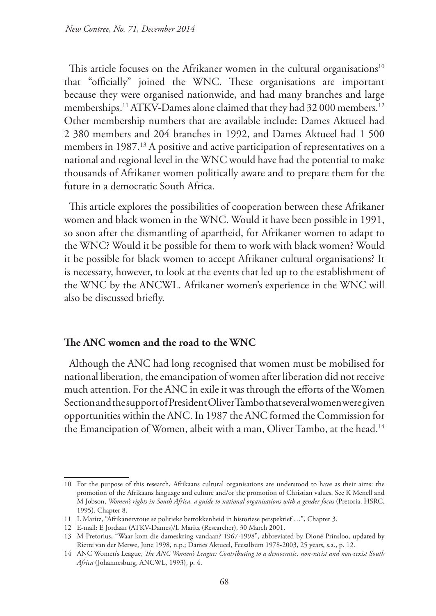This article focuses on the Afrikaner women in the cultural organisations $10$ that "officially" joined the WNC. These organisations are important because they were organised nationwide, and had many branches and large memberships.<sup>11</sup> ATKV-Dames alone claimed that they had 32 000 members.<sup>12</sup> Other membership numbers that are available include: Dames Aktueel had 2 380 members and 204 branches in 1992, and Dames Aktueel had 1 500 members in 1987.<sup>13</sup> A positive and active participation of representatives on a national and regional level in the WNC would have had the potential to make thousands of Afrikaner women politically aware and to prepare them for the future in a democratic South Africa.

This article explores the possibilities of cooperation between these Afrikaner women and black women in the WNC. Would it have been possible in 1991, so soon after the dismantling of apartheid, for Afrikaner women to adapt to the WNC? Would it be possible for them to work with black women? Would it be possible for black women to accept Afrikaner cultural organisations? It is necessary, however, to look at the events that led up to the establishment of the WNC by the ANCWL. Afrikaner women's experience in the WNC will also be discussed briefly.

### **The ANC women and the road to the WNC**

Although the ANC had long recognised that women must be mobilised for national liberation, the emancipation of women after liberation did not receive much attention. For the ANC in exile it was through the efforts of the Women Section and the support of President Oliver Tambo that several women were given opportunities within the ANC. In 1987 the ANC formed the Commission for the Emancipation of Women, albeit with a man, Oliver Tambo, at the head.<sup>14</sup>

<sup>10</sup> For the purpose of this research, Afrikaans cultural organisations are understood to have as their aims: the promotion of the Afrikaans language and culture and/or the promotion of Christian values. See K Menell and M Jobson, *Women's rights in South Africa, a guide to national organisations with a gender focus* (Pretoria, HSRC, 1995), Chapter 8.

<sup>11</sup> L Maritz, "Afrikanervroue se politieke betrokkenheid in historiese perspektief …", Chapter 3.

<sup>12</sup> E-mail: E Jordaan (ATKV-Dames)/L Maritz (Researcher), 30 March 2001.

<sup>13</sup> M Pretorius, "Waar kom die dameskring vandaan? 1967-1998", abbreviated by Dioné Prinsloo, updated by Riette van der Merwe, June 1998, n.p.; Dames Aktueel, Feesalbum 1978-2003, 25 years, s.a., p. 12.

<sup>14</sup> ANC Women's League, *The ANC Women's League: Contributing to a democratic, non-racist and non-sexist South Africa* (Johannesburg, ANCWL, 1993), p. 4.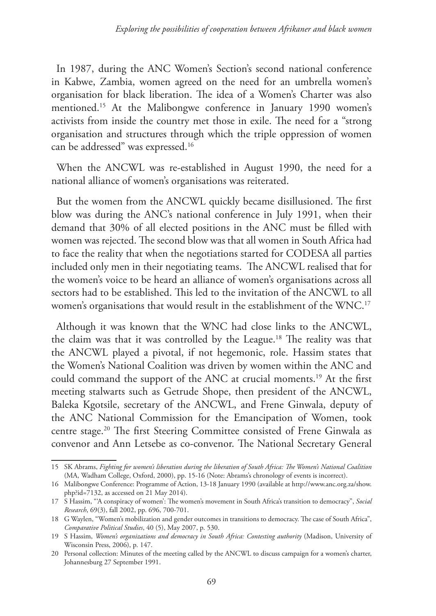In 1987, during the ANC Women's Section's second national conference in Kabwe, Zambia, women agreed on the need for an umbrella women's organisation for black liberation. The idea of a Women's Charter was also mentioned.15 At the Malibongwe conference in January 1990 women's activists from inside the country met those in exile. The need for a "strong organisation and structures through which the triple oppression of women can be addressed" was expressed.16

When the ANCWL was re-established in August 1990, the need for a national alliance of women's organisations was reiterated.

But the women from the ANCWL quickly became disillusioned. The first blow was during the ANC's national conference in July 1991, when their demand that 30% of all elected positions in the ANC must be filled with women was rejected. The second blow was that all women in South Africa had to face the reality that when the negotiations started for CODESA all parties included only men in their negotiating teams. The ANCWL realised that for the women's voice to be heard an alliance of women's organisations across all sectors had to be established. This led to the invitation of the ANCWL to all women's organisations that would result in the establishment of the WNC.<sup>17</sup>

Although it was known that the WNC had close links to the ANCWL, the claim was that it was controlled by the League.18 The reality was that the ANCWL played a pivotal, if not hegemonic, role. Hassim states that the Women's National Coalition was driven by women within the ANC and could command the support of the ANC at crucial moments.19 At the first meeting stalwarts such as Getrude Shope, then president of the ANCWL, Baleka Kgotsile, secretary of the ANCWL, and Frene Ginwala, deputy of the ANC National Commission for the Emancipation of Women, took centre stage.20 The first Steering Committee consisted of Frene Ginwala as convenor and Ann Letsebe as co-convenor. The National Secretary General

<sup>15</sup> SK Abrams, *Fighting for women's liberation during the liberation of South Africa: The Women's National Coalition*  (MA, Wadham College, Oxford, 2000), pp. 15-16 (Note: Abrams's chronology of events is incorrect).

<sup>16</sup> Malibongwe Conference: Programme of Action, 13-18 January 1990 (available at http://www.anc.org.za/show. php?id=7132, as accessed on 21 May 2014).

<sup>17</sup> S Hassim, "'A conspiracy of women': The women's movement in South Africa's transition to democracy", *Social Research*, 69(3), fall 2002, pp. 696, 700-701.

<sup>18</sup> G Waylen, "Women's mobilization and gender outcomes in transitions to democracy. The case of South Africa", *Comparative Political Studies*, 40 (5), May 2007, p. 530.

<sup>19</sup> S Hassim, *Women's organizations and democracy in South Africa: Contesting authority* (Madison, University of Wisconsin Press, 2006), p. 147.

<sup>20</sup> Personal collection: Minutes of the meeting called by the ANCWL to discuss campaign for a women's charter, Johannesburg 27 September 1991.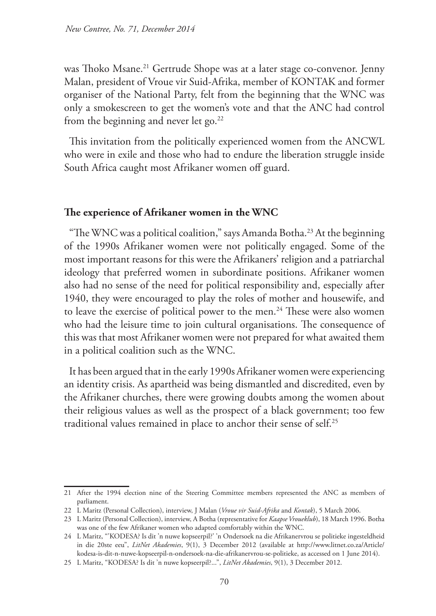was Thoko Msane.<sup>21</sup> Gertrude Shope was at a later stage co-convenor. Jenny Malan, president of Vroue vir Suid-Afrika, member of KONTAK and former organiser of the National Party, felt from the beginning that the WNC was only a smokescreen to get the women's vote and that the ANC had control from the beginning and never let go.<sup>22</sup>

This invitation from the politically experienced women from the ANCWL who were in exile and those who had to endure the liberation struggle inside South Africa caught most Afrikaner women off guard.

#### **The experience of Afrikaner women in the WNC**

"The WNC was a political coalition," says Amanda Botha.<sup>23</sup> At the beginning of the 1990s Afrikaner women were not politically engaged. Some of the most important reasons for this were the Afrikaners' religion and a patriarchal ideology that preferred women in subordinate positions. Afrikaner women also had no sense of the need for political responsibility and, especially after 1940, they were encouraged to play the roles of mother and housewife, and to leave the exercise of political power to the men.<sup>24</sup> These were also women who had the leisure time to join cultural organisations. The consequence of this was that most Afrikaner women were not prepared for what awaited them in a political coalition such as the WNC.

It has been argued that in the early 1990s Afrikaner women were experiencing an identity crisis. As apartheid was being dismantled and discredited, even by the Afrikaner churches, there were growing doubts among the women about their religious values as well as the prospect of a black government; too few traditional values remained in place to anchor their sense of self.25

<sup>21</sup> After the 1994 election nine of the Steering Committee members represented the ANC as members of parliament.

<sup>22</sup> L Maritz (Personal Collection), interview, J Malan (*Vroue vir Suid-Afrika* and *Kontak*), 5 March 2006.

<sup>23</sup> L Maritz (Personal Collection), interview, A Botha (representative for *Kaapse Vroueklub*), 18 March 1996. Botha was one of the few Afrikaner women who adapted comfortably within the WNC.

<sup>24</sup> L Maritz, "'KODESA? Is dit 'n nuwe kopseerpil?' 'n Ondersoek na die Afrikanervrou se politieke ingesteldheid in die 20ste eeu", *LitNet Akademies*, 9(1), 3 December 2012 (available at http://www.litnet.co.za/Article/ kodesa-is-dit-n-nuwe-kopseerpil-n-ondersoek-na-die-afrikanervrou-se-politieke, as accessed on 1 June 2014).

<sup>25</sup> L Maritz, "KODESA? Is dit 'n nuwe kopseerpil?...", *LitNet Akademies*, 9(1), 3 December 2012.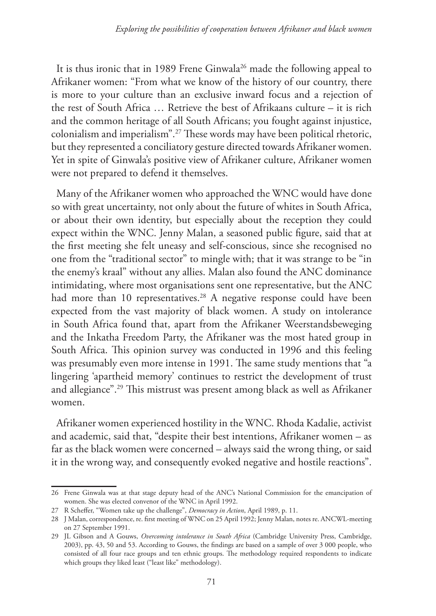It is thus ironic that in 1989 Frene Ginwala26 made the following appeal to Afrikaner women: "From what we know of the history of our country, there is more to your culture than an exclusive inward focus and a rejection of the rest of South Africa … Retrieve the best of Afrikaans culture – it is rich and the common heritage of all South Africans; you fought against injustice, colonialism and imperialism".27 These words may have been political rhetoric, but they represented a conciliatory gesture directed towards Afrikaner women. Yet in spite of Ginwala's positive view of Afrikaner culture, Afrikaner women were not prepared to defend it themselves.

Many of the Afrikaner women who approached the WNC would have done so with great uncertainty, not only about the future of whites in South Africa, or about their own identity, but especially about the reception they could expect within the WNC. Jenny Malan, a seasoned public figure, said that at the first meeting she felt uneasy and self-conscious, since she recognised no one from the "traditional sector" to mingle with; that it was strange to be "in the enemy's kraal" without any allies. Malan also found the ANC dominance intimidating, where most organisations sent one representative, but the ANC had more than 10 representatives.<sup>28</sup> A negative response could have been expected from the vast majority of black women. A study on intolerance in South Africa found that, apart from the Afrikaner Weerstandsbeweging and the Inkatha Freedom Party, the Afrikaner was the most hated group in South Africa. This opinion survey was conducted in 1996 and this feeling was presumably even more intense in 1991. The same study mentions that "a lingering 'apartheid memory' continues to restrict the development of trust and allegiance".29 This mistrust was present among black as well as Afrikaner women.

Afrikaner women experienced hostility in the WNC. Rhoda Kadalie, activist and academic, said that, "despite their best intentions, Afrikaner women – as far as the black women were concerned – always said the wrong thing, or said it in the wrong way, and consequently evoked negative and hostile reactions".

<sup>26</sup> Frene Ginwala was at that stage deputy head of the ANC's National Commission for the emancipation of women. She was elected convenor of the WNC in April 1992.

<sup>27</sup> R Scheffer, "Women take up the challenge", *Democracy in Action*, April 1989, p. 11.

<sup>28</sup> J Malan, correspondence, re. first meeting of WNC on 25 April 1992; Jenny Malan, notes re. ANCWL-meeting on 27 September 1991.

<sup>29</sup> JL Gibson and A Gouws, *Overcoming intolerance in South Africa* (Cambridge University Press, Cambridge, 2003), pp. 43, 50 and 53. According to Gouws, the findings are based on a sample of over 3 000 people, who consisted of all four race groups and ten ethnic groups. The methodology required respondents to indicate which groups they liked least ("least like" methodology).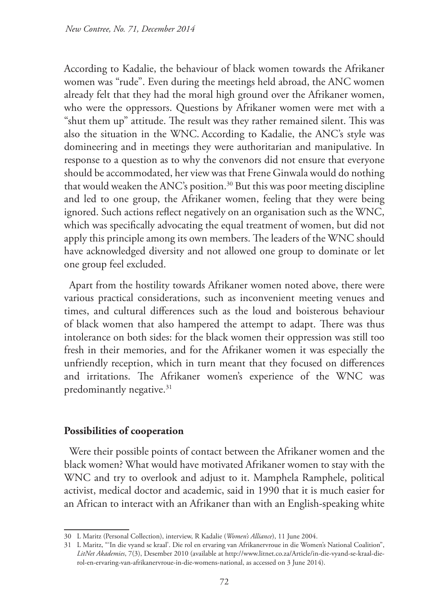According to Kadalie, the behaviour of black women towards the Afrikaner women was "rude". Even during the meetings held abroad, the ANC women already felt that they had the moral high ground over the Afrikaner women, who were the oppressors. Questions by Afrikaner women were met with a "shut them up" attitude. The result was they rather remained silent. This was also the situation in the WNC. According to Kadalie, the ANC's style was domineering and in meetings they were authoritarian and manipulative. In response to a question as to why the convenors did not ensure that everyone should be accommodated, her view was that Frene Ginwala would do nothing that would weaken the ANC's position.<sup>30</sup> But this was poor meeting discipline and led to one group, the Afrikaner women, feeling that they were being ignored. Such actions reflect negatively on an organisation such as the WNC, which was specifically advocating the equal treatment of women, but did not apply this principle among its own members. The leaders of the WNC should have acknowledged diversity and not allowed one group to dominate or let one group feel excluded.

Apart from the hostility towards Afrikaner women noted above, there were various practical considerations, such as inconvenient meeting venues and times, and cultural differences such as the loud and boisterous behaviour of black women that also hampered the attempt to adapt. There was thus intolerance on both sides: for the black women their oppression was still too fresh in their memories, and for the Afrikaner women it was especially the unfriendly reception, which in turn meant that they focused on differences and irritations. The Afrikaner women's experience of the WNC was predominantly negative.<sup>31</sup>

### **Possibilities of cooperation**

Were their possible points of contact between the Afrikaner women and the black women? What would have motivated Afrikaner women to stay with the WNC and try to overlook and adjust to it. Mamphela Ramphele, political activist, medical doctor and academic, said in 1990 that it is much easier for an African to interact with an Afrikaner than with an English-speaking white

<sup>30</sup> L Maritz (Personal Collection), interview, R Kadalie (*Women's Alliance*), 11 June 2004.

<sup>31</sup> L Maritz, "'In die vyand se kraal'. Die rol en ervaring van Afrikanervroue in die Women's National Coalition", *LitNet Akademies*, 7(3), Desember 2010 (available at http://www.litnet.co.za/Article/in-die-vyand-se-kraal-dierol-en-ervaring-van-afrikanervroue-in-die-womens-national, as accessed on 3 June 2014).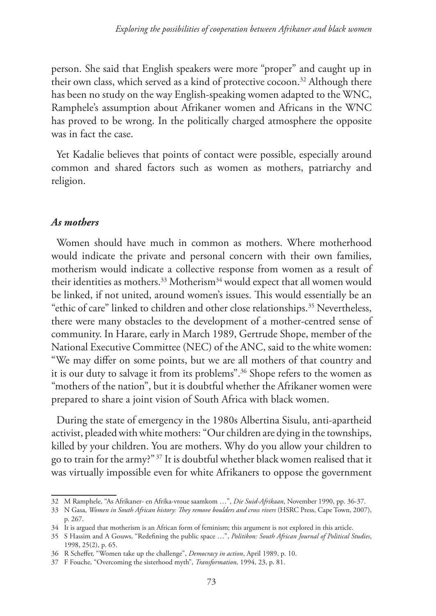person. She said that English speakers were more "proper" and caught up in their own class, which served as a kind of protective cocoon.<sup>32</sup> Although there has been no study on the way English-speaking women adapted to the WNC, Ramphele's assumption about Afrikaner women and Africans in the WNC has proved to be wrong. In the politically charged atmosphere the opposite was in fact the case.

Yet Kadalie believes that points of contact were possible, especially around common and shared factors such as women as mothers, patriarchy and religion.

### *As mothers*

Women should have much in common as mothers. Where motherhood would indicate the private and personal concern with their own families, motherism would indicate a collective response from women as a result of their identities as mothers.<sup>33</sup> Motherism<sup>34</sup> would expect that all women would be linked, if not united, around women's issues. This would essentially be an "ethic of care" linked to children and other close relationships.<sup>35</sup> Nevertheless, there were many obstacles to the development of a mother-centred sense of community. In Harare, early in March 1989, Gertrude Shope, member of the National Executive Committee (NEC) of the ANC, said to the white women: "We may differ on some points, but we are all mothers of that country and it is our duty to salvage it from its problems".36 Shope refers to the women as "mothers of the nation", but it is doubtful whether the Afrikaner women were prepared to share a joint vision of South Africa with black women.

During the state of emergency in the 1980s Albertina Sisulu, anti-apartheid activist, pleaded with white mothers: "Our children are dying in the townships, killed by your children. You are mothers. Why do you allow your children to go to train for the army?" 37 It is doubtful whether black women realised that it was virtually impossible even for white Afrikaners to oppose the government

<sup>32</sup> M Ramphele, "As Afrikaner- en Afrika-vroue saamkom …", *Die Suid-Afrikaan*, November 1990, pp. 36-37.

<sup>33</sup> N Gasa, *Women in South African history: They remove boulders and cross rivers* (HSRC Press, Cape Town, 2007), p. 267.

<sup>34</sup> It is argued that motherism is an African form of feminism; this argument is not explored in this article.

<sup>35</sup> S Hassim and A Gouws, "Redefining the public space …", *Politikon: South African Journal of Political Studies*, 1998, 25(2), p. 65.

<sup>36</sup> R Scheffer, "Women take up the challenge", *Democracy in action*, April 1989, p. 10.

<sup>37</sup> F Fouche, "Overcoming the sisterhood myth", *Transformation,* 1994, 23, p. 81.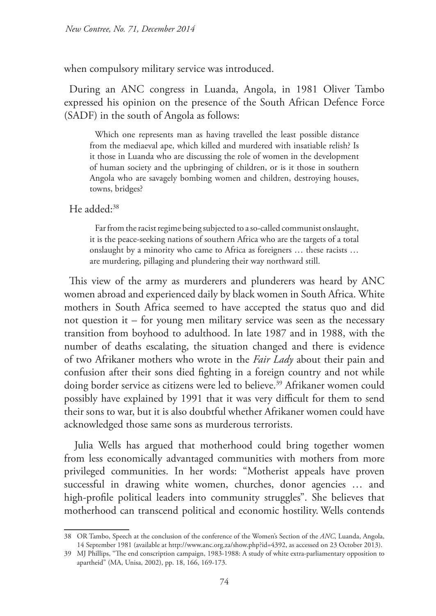when compulsory military service was introduced.

During an ANC congress in Luanda, Angola, in 1981 Oliver Tambo expressed his opinion on the presence of the South African Defence Force (SADF) in the south of Angola as follows:

Which one represents man as having travelled the least possible distance from the mediaeval ape, which killed and murdered with insatiable relish? Is it those in Luanda who are discussing the role of women in the development of human society and the upbringing of children, or is it those in southern Angola who are savagely bombing women and children, destroying houses, towns, bridges?

He added:<sup>38</sup>

Far from the racist regime being subjected to a so-called communist onslaught, it is the peace-seeking nations of southern Africa who are the targets of a total onslaught by a minority who came to Africa as foreigners … these racists … are murdering, pillaging and plundering their way northward still.

This view of the army as murderers and plunderers was heard by ANC women abroad and experienced daily by black women in South Africa. White mothers in South Africa seemed to have accepted the status quo and did not question it – for young men military service was seen as the necessary transition from boyhood to adulthood. In late 1987 and in 1988, with the number of deaths escalating, the situation changed and there is evidence of two Afrikaner mothers who wrote in the *Fair Lady* about their pain and confusion after their sons died fighting in a foreign country and not while doing border service as citizens were led to believe.<sup>39</sup> Afrikaner women could possibly have explained by 1991 that it was very difficult for them to send their sons to war, but it is also doubtful whether Afrikaner women could have acknowledged those same sons as murderous terrorists.

 Julia Wells has argued that motherhood could bring together women from less economically advantaged communities with mothers from more privileged communities. In her words: "Motherist appeals have proven successful in drawing white women, churches, donor agencies … and high-profile political leaders into community struggles". She believes that motherhood can transcend political and economic hostility. Wells contends

<sup>38</sup> OR Tambo, Speech at the conclusion of the conference of the Women's Section of the *ANC*, Luanda, Angola, 14 September 1981 (available at http://www.anc.org.za/show.php?id=4392, as accessed on 23 October 2013).

<sup>39</sup> MJ Phillips, "The end conscription campaign, 1983-1988: A study of white extra-parliamentary opposition to apartheid" (MA, Unisa, 2002), pp. 18, 166, 169-173.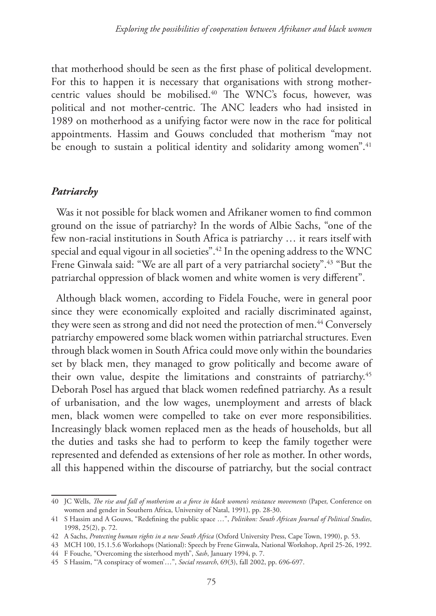that motherhood should be seen as the first phase of political development. For this to happen it is necessary that organisations with strong mothercentric values should be mobilised.<sup>40</sup> The WNC's focus, however, was political and not mother-centric. The ANC leaders who had insisted in 1989 on motherhood as a unifying factor were now in the race for political appointments. Hassim and Gouws concluded that motherism "may not be enough to sustain a political identity and solidarity among women".<sup>41</sup>

### *Patriarchy*

Was it not possible for black women and Afrikaner women to find common ground on the issue of patriarchy? In the words of Albie Sachs, "one of the few non-racial institutions in South Africa is patriarchy … it rears itself with special and equal vigour in all societies".42 In the opening address to the WNC Frene Ginwala said: "We are all part of a very patriarchal society".<sup>43</sup> "But the patriarchal oppression of black women and white women is very different".

Although black women, according to Fidela Fouche, were in general poor since they were economically exploited and racially discriminated against, they were seen as strong and did not need the protection of men.<sup>44</sup> Conversely patriarchy empowered some black women within patriarchal structures. Even through black women in South Africa could move only within the boundaries set by black men, they managed to grow politically and become aware of their own value, despite the limitations and constraints of patriarchy.45 Deborah Posel has argued that black women redefined patriarchy. As a result of urbanisation, and the low wages, unemployment and arrests of black men, black women were compelled to take on ever more responsibilities. Increasingly black women replaced men as the heads of households, but all the duties and tasks she had to perform to keep the family together were represented and defended as extensions of her role as mother. In other words, all this happened within the discourse of patriarchy, but the social contract

<sup>40</sup> JC Wells, *The rise and fall of motherism as a force in black women's resistance movements* (Paper, Conference on women and gender in Southern Africa, University of Natal, 1991), pp. 28-30.

<sup>41</sup> S Hassim and A Gouws, "Redefining the public space …", *Politikon: South African Journal of Political Studies*, 1998, 25(2), p. 72.

<sup>42</sup> A Sachs, *Protecting human rights in a new South Africa* (Oxford University Press, Cape Town, 1990), p. 53.

<sup>43</sup> MCH 100, 15.1.5.6 Workshops (National): Speech by Frene Ginwala, National Workshop, April 25-26, 1992.

<sup>44</sup> F Fouche, "Overcoming the sisterhood myth", *Sash*, January 1994, p. 7.

<sup>45</sup> S Hassim, "'A conspiracy of women'…", *Social research*, 69(3), fall 2002, pp. 696-697.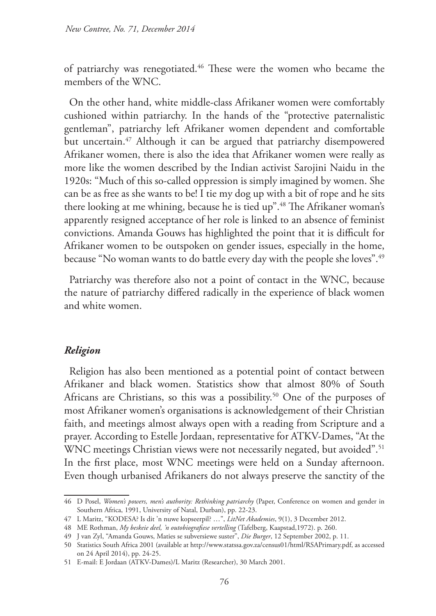of patriarchy was renegotiated.46 These were the women who became the members of the WNC.

On the other hand, white middle-class Afrikaner women were comfortably cushioned within patriarchy. In the hands of the "protective paternalistic gentleman", patriarchy left Afrikaner women dependent and comfortable but uncertain.<sup>47</sup> Although it can be argued that patriarchy disempowered Afrikaner women, there is also the idea that Afrikaner women were really as more like the women described by the Indian activist Sarojini Naidu in the 1920s: "Much of this so-called oppression is simply imagined by women. She can be as free as she wants to be! I tie my dog up with a bit of rope and he sits there looking at me whining, because he is tied up".48 The Afrikaner woman's apparently resigned acceptance of her role is linked to an absence of feminist convictions. Amanda Gouws has highlighted the point that it is difficult for Afrikaner women to be outspoken on gender issues, especially in the home, because "No woman wants to do battle every day with the people she loves".<sup>49</sup>

Patriarchy was therefore also not a point of contact in the WNC, because the nature of patriarchy differed radically in the experience of black women and white women.

### *Religion*

Religion has also been mentioned as a potential point of contact between Afrikaner and black women. Statistics show that almost 80% of South Africans are Christians, so this was a possibility.<sup>50</sup> One of the purposes of most Afrikaner women's organisations is acknowledgement of their Christian faith, and meetings almost always open with a reading from Scripture and a prayer. According to Estelle Jordaan, representative for ATKV-Dames, "At the WNC meetings Christian views were not necessarily negated, but avoided".<sup>51</sup> In the first place, most WNC meetings were held on a Sunday afternoon. Even though urbanised Afrikaners do not always preserve the sanctity of the

<sup>46</sup> D Posel, *Women's powers, men's authority: Rethinking patriarchy* (Paper, Conference on women and gender in Southern Africa, 1991, University of Natal, Durban), pp. 22-23.

<sup>47</sup> L Maritz, "KODESA? Is dit 'n nuwe kopseerpil? …", *LitNet Akademies*, 9(1), 3 December 2012.

<sup>48</sup> ME Rothman, *My beskeie deel, 'n outobiografiese vertelling* (Tafelberg, Kaapstad,1972). p. 260.

<sup>49</sup> J van Zyl, "Amanda Gouws, Maties se subversiewe suster", *Die Burger*, 12 September 2002, p. 11.

<sup>50</sup> Statistics South Africa 2001 (available at http://www.statssa.gov.za/census01/html/RSAPrimary.pdf, as accessed on 24 April 2014), pp. 24-25.

<sup>51</sup> E-mail: E Jordaan (ATKV-Dames)/L Maritz (Researcher), 30 March 2001.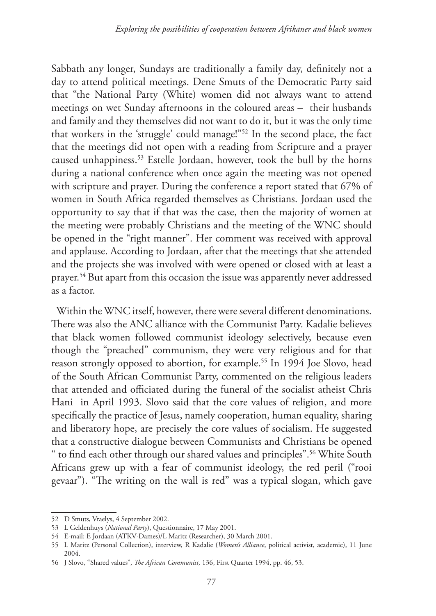Sabbath any longer, Sundays are traditionally a family day, definitely not a day to attend political meetings. Dene Smuts of the Democratic Party said that "the National Party (White) women did not always want to attend meetings on wet Sunday afternoons in the coloured areas – their husbands and family and they themselves did not want to do it, but it was the only time that workers in the 'struggle' could manage!"52 In the second place, the fact that the meetings did not open with a reading from Scripture and a prayer caused unhappiness.53 Estelle Jordaan, however, took the bull by the horns during a national conference when once again the meeting was not opened with scripture and prayer. During the conference a report stated that 67% of women in South Africa regarded themselves as Christians. Jordaan used the opportunity to say that if that was the case, then the majority of women at the meeting were probably Christians and the meeting of the WNC should be opened in the "right manner". Her comment was received with approval and applause. According to Jordaan, after that the meetings that she attended and the projects she was involved with were opened or closed with at least a prayer.54 But apart from this occasion the issue was apparently never addressed as a factor.

Within the WNC itself, however, there were several different denominations. There was also the ANC alliance with the Communist Party. Kadalie believes that black women followed communist ideology selectively, because even though the "preached" communism, they were very religious and for that reason strongly opposed to abortion, for example.<sup>55</sup> In 1994 Joe Slovo, head of the South African Communist Party, commented on the religious leaders that attended and officiated during the funeral of the socialist atheist Chris Hani in April 1993. Slovo said that the core values of religion, and more specifically the practice of Jesus, namely cooperation, human equality, sharing and liberatory hope, are precisely the core values of socialism. He suggested that a constructive dialogue between Communists and Christians be opened " to find each other through our shared values and principles".56 White South Africans grew up with a fear of communist ideology, the red peril ("rooi gevaar"). "The writing on the wall is red" was a typical slogan, which gave

<sup>52</sup> D Smuts, Vraelys, 4 September 2002.

<sup>53</sup> L Geldenhuys (*National Party*), Questionnaire, 17 May 2001.

<sup>54</sup> E-mail: E Jordaan (ATKV-Dames)/L Maritz (Researcher), 30 March 2001.

<sup>55</sup> L Maritz (Personal Collection), interview, R Kadalie (*Women's Alliance*, political activist, academic), 11 June 2004.

<sup>56</sup> J Slovo, "Shared values", *The African Communist,* 136, First Quarter 1994, pp. 46, 53.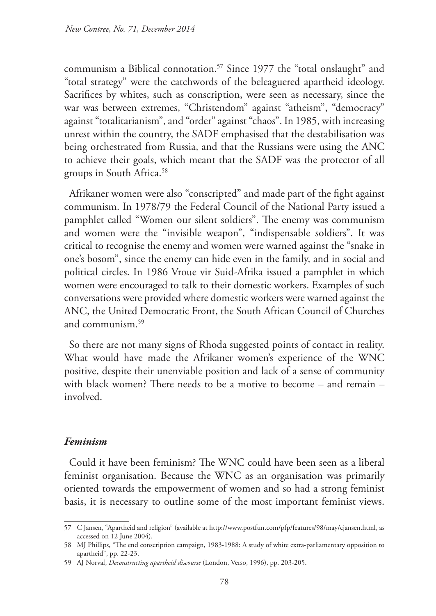communism a Biblical connotation.<sup>57</sup> Since 1977 the "total onslaught" and "total strategy" were the catchwords of the beleaguered apartheid ideology. Sacrifices by whites, such as conscription, were seen as necessary, since the war was between extremes, "Christendom" against "atheism", "democracy" against "totalitarianism", and "order" against "chaos". In 1985, with increasing unrest within the country, the SADF emphasised that the destabilisation was being orchestrated from Russia, and that the Russians were using the ANC to achieve their goals, which meant that the SADF was the protector of all groups in South Africa.58

Afrikaner women were also "conscripted" and made part of the fight against communism. In 1978/79 the Federal Council of the National Party issued a pamphlet called "Women our silent soldiers". The enemy was communism and women were the "invisible weapon", "indispensable soldiers". It was critical to recognise the enemy and women were warned against the "snake in one's bosom", since the enemy can hide even in the family, and in social and political circles. In 1986 Vroue vir Suid-Afrika issued a pamphlet in which women were encouraged to talk to their domestic workers. Examples of such conversations were provided where domestic workers were warned against the ANC, the United Democratic Front, the South African Council of Churches and communism.59

So there are not many signs of Rhoda suggested points of contact in reality. What would have made the Afrikaner women's experience of the WNC positive, despite their unenviable position and lack of a sense of community with black women? There needs to be a motive to become – and remain – involved.

### *Feminism*

Could it have been feminism? The WNC could have been seen as a liberal feminist organisation. Because the WNC as an organisation was primarily oriented towards the empowerment of women and so had a strong feminist basis, it is necessary to outline some of the most important feminist views.

<sup>57</sup> C Jansen, "Apartheid and religion" (available at http://www.postfun.com/pfp/features/98/may/cjansen.html, as accessed on 12 June 2004).

<sup>58</sup> MJ Phillips, "The end conscription campaign, 1983-1988: A study of white extra-parliamentary opposition to apartheid", pp. 22-23.

<sup>59</sup> AJ Norval, *Deconstructing apartheid discourse* (London, Verso, 1996), pp. 203-205.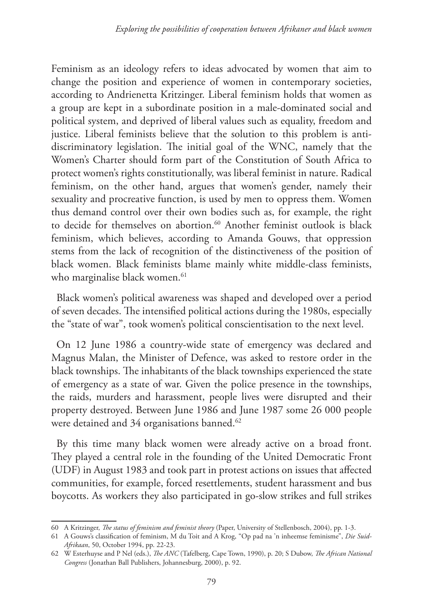Feminism as an ideology refers to ideas advocated by women that aim to change the position and experience of women in contemporary societies, according to Andrienetta Kritzinger. Liberal feminism holds that women as a group are kept in a subordinate position in a male-dominated social and political system, and deprived of liberal values such as equality, freedom and justice. Liberal feminists believe that the solution to this problem is antidiscriminatory legislation. The initial goal of the WNC, namely that the Women's Charter should form part of the Constitution of South Africa to protect women's rights constitutionally, was liberal feminist in nature. Radical feminism, on the other hand, argues that women's gender, namely their sexuality and procreative function, is used by men to oppress them. Women thus demand control over their own bodies such as, for example, the right to decide for themselves on abortion.<sup>60</sup> Another feminist outlook is black feminism, which believes, according to Amanda Gouws, that oppression stems from the lack of recognition of the distinctiveness of the position of black women. Black feminists blame mainly white middle-class feminists, who marginalise black women.<sup>61</sup>

Black women's political awareness was shaped and developed over a period of seven decades. The intensified political actions during the 1980s, especially the "state of war", took women's political conscientisation to the next level.

On 12 June 1986 a country-wide state of emergency was declared and Magnus Malan, the Minister of Defence, was asked to restore order in the black townships. The inhabitants of the black townships experienced the state of emergency as a state of war. Given the police presence in the townships, the raids, murders and harassment, people lives were disrupted and their property destroyed. Between June 1986 and June 1987 some 26 000 people were detained and 34 organisations banned.<sup>62</sup>

By this time many black women were already active on a broad front. They played a central role in the founding of the United Democratic Front (UDF) in August 1983 and took part in protest actions on issues that affected communities, for example, forced resettlements, student harassment and bus boycotts. As workers they also participated in go-slow strikes and full strikes

<sup>60</sup> A Kritzinger, *The status of feminism and feminist theory* (Paper, University of Stellenbosch, 2004), pp. 1-3.

<sup>61</sup> A Gouws's classification of feminism, M du Toit and A Krog, "Op pad na 'n inheemse feminisme", *Die Suid-Afrikaan*, 50, October 1994, pp. 22-23.

<sup>62</sup> W Esterhuyse and P Nel (eds.), *The ANC* (Tafelberg, Cape Town, 1990), p. 20; S Dubow, *The African National Congress* (Jonathan Ball Publishers, Johannesburg, 2000), p. 92.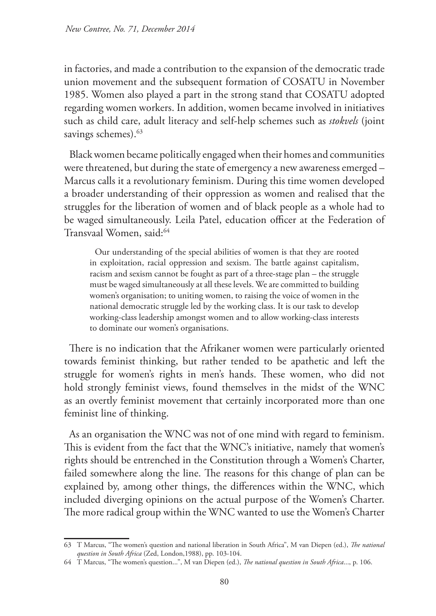in factories, and made a contribution to the expansion of the democratic trade union movement and the subsequent formation of COSATU in November 1985. Women also played a part in the strong stand that COSATU adopted regarding women workers. In addition, women became involved in initiatives such as child care, adult literacy and self-help schemes such as *stokvels* (joint savings schemes).<sup>63</sup>

Black women became politically engaged when their homes and communities were threatened, but during the state of emergency a new awareness emerged – Marcus calls it a revolutionary feminism. During this time women developed a broader understanding of their oppression as women and realised that the struggles for the liberation of women and of black people as a whole had to be waged simultaneously. Leila Patel, education officer at the Federation of Transvaal Women, said:64

Our understanding of the special abilities of women is that they are rooted in exploitation, racial oppression and sexism. The battle against capitalism, racism and sexism cannot be fought as part of a three-stage plan – the struggle must be waged simultaneously at all these levels. We are committed to building women's organisation; to uniting women, to raising the voice of women in the national democratic struggle led by the working class. It is our task to develop working-class leadership amongst women and to allow working-class interests to dominate our women's organisations.

There is no indication that the Afrikaner women were particularly oriented towards feminist thinking, but rather tended to be apathetic and left the struggle for women's rights in men's hands. These women, who did not hold strongly feminist views, found themselves in the midst of the WNC as an overtly feminist movement that certainly incorporated more than one feminist line of thinking.

As an organisation the WNC was not of one mind with regard to feminism. This is evident from the fact that the WNC's initiative, namely that women's rights should be entrenched in the Constitution through a Women's Charter, failed somewhere along the line. The reasons for this change of plan can be explained by, among other things, the differences within the WNC, which included diverging opinions on the actual purpose of the Women's Charter. The more radical group within the WNC wanted to use the Women's Charter

<sup>63</sup> T Marcus, "The women's question and national liberation in South Africa", M van Diepen (ed.), *The national question in South Africa* (Zed, London,1988), pp. 103-104.

<sup>64</sup> T Marcus, "The women's question...", M van Diepen (ed.), *The national question in South Africa*..., p. 106.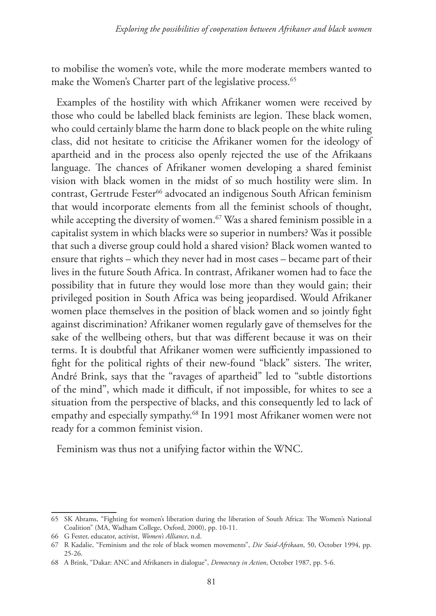to mobilise the women's vote, while the more moderate members wanted to make the Women's Charter part of the legislative process.<sup>65</sup>

Examples of the hostility with which Afrikaner women were received by those who could be labelled black feminists are legion. These black women, who could certainly blame the harm done to black people on the white ruling class, did not hesitate to criticise the Afrikaner women for the ideology of apartheid and in the process also openly rejected the use of the Afrikaans language. The chances of Afrikaner women developing a shared feminist vision with black women in the midst of so much hostility were slim. In contrast, Gertrude Fester<sup>66</sup> advocated an indigenous South African feminism that would incorporate elements from all the feminist schools of thought, while accepting the diversity of women.<sup>67</sup> Was a shared feminism possible in a capitalist system in which blacks were so superior in numbers? Was it possible that such a diverse group could hold a shared vision? Black women wanted to ensure that rights – which they never had in most cases – became part of their lives in the future South Africa. In contrast, Afrikaner women had to face the possibility that in future they would lose more than they would gain; their privileged position in South Africa was being jeopardised. Would Afrikaner women place themselves in the position of black women and so jointly fight against discrimination? Afrikaner women regularly gave of themselves for the sake of the wellbeing others, but that was different because it was on their terms. It is doubtful that Afrikaner women were sufficiently impassioned to fight for the political rights of their new-found "black" sisters. The writer, André Brink, says that the "ravages of apartheid" led to "subtle distortions of the mind", which made it difficult, if not impossible, for whites to see a situation from the perspective of blacks, and this consequently led to lack of empathy and especially sympathy.68 In 1991 most Afrikaner women were not ready for a common feminist vision.

Feminism was thus not a unifying factor within the WNC.

<sup>65</sup> SK Abrams, "Fighting for women's liberation during the liberation of South Africa: The Women's National Coalition" (MA, Wadham College, Oxford, 2000), pp. 10-11.

<sup>66</sup> G Fester, educator, activist, *Women's Alliance*, n.d.

<sup>67</sup> R Kadalie, "Feminism and the role of black women movements", *Die Suid-Afrikaan*, 50, October 1994, pp. 25-26.

<sup>68</sup> A Brink, "Dakar: ANC and Afrikaners in dialogue", *Democracy in Action*, October 1987, pp. 5-6.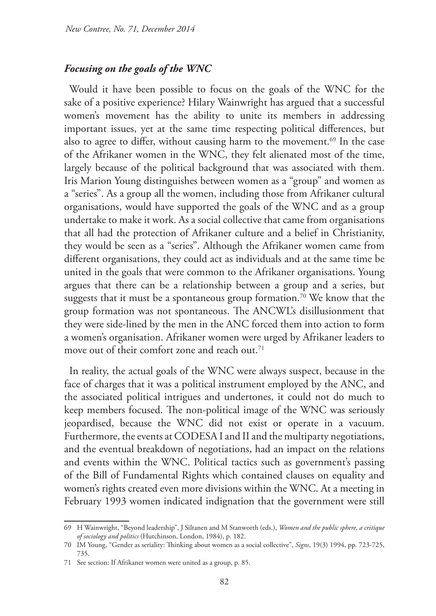#### *Focusing on the goals of the WNC*

Would it have been possible to focus on the goals of the WNC for the sake of a positive experience? Hilary Wainwright has argued that a successful women's movement has the ability to unite its members in addressing important issues, yet at the same time respecting political differences, but also to agree to differ, without causing harm to the movement.<sup>69</sup> In the case of the Afrikaner women in the WNC, they felt alienated most of the time, largely because of the political background that was associated with them. Iris Marion Young distinguishes between women as a "group" and women as a "series". As a group all the women, including those from Afrikaner cultural organisations, would have supported the goals of the WNC and as a group undertake to make it work. As a social collective that came from organisations that all had the protection of Afrikaner culture and a belief in Christianity, they would be seen as a "series". Although the Afrikaner women came from different organisations, they could act as individuals and at the same time be united in the goals that were common to the Afrikaner organisations. Young argues that there can be a relationship between a group and a series, but suggests that it must be a spontaneous group formation.<sup>70</sup> We know that the group formation was not spontaneous. The ANCWL's disillusionment that they were side-lined by the men in the ANC forced them into action to form a women's organisation. Afrikaner women were urged by Afrikaner leaders to move out of their comfort zone and reach out.<sup>71</sup>

In reality, the actual goals of the WNC were always suspect, because in the face of charges that it was a political instrument employed by the ANC, and the associated political intrigues and undertones, it could not do much to keep members focused. The non-political image of the WNC was seriously jeopardised, because the WNC did not exist or operate in a vacuum. Furthermore, the events at CODESA I and II and the multiparty negotiations, and the eventual breakdown of negotiations, had an impact on the relations and events within the WNC. Political tactics such as government's passing of the Bill of Fundamental Rights which contained clauses on equality and women's rights created even more divisions within the WNC. At a meeting in February 1993 women indicated indignation that the government were still

<sup>69</sup> H Wainwright, "Beyond leadership", J Siltanen and M Stanworth (eds.), *Women and the public sphere, a critique of sociology and politics* (Hutchinson, London, 1984), p. 182.

<sup>70</sup> IM Young, "Gender as seriality: Thinking about women as a social collective", *Signs*, 19(3) 1994, pp. 723-725, 735.

<sup>71</sup> See section: If Afrikaner women were united as a group, p. 85.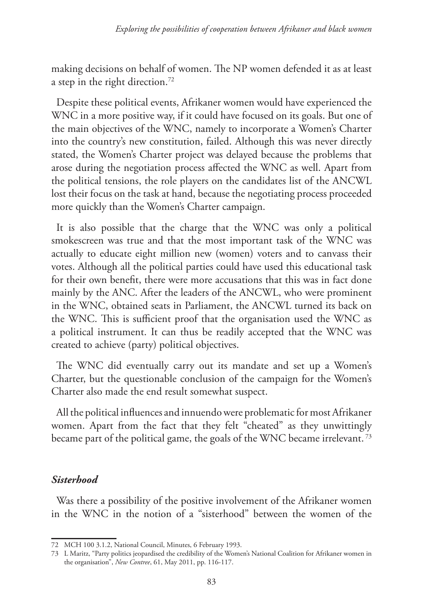making decisions on behalf of women. The NP women defended it as at least a step in the right direction.72

Despite these political events, Afrikaner women would have experienced the WNC in a more positive way, if it could have focused on its goals. But one of the main objectives of the WNC, namely to incorporate a Women's Charter into the country's new constitution, failed. Although this was never directly stated, the Women's Charter project was delayed because the problems that arose during the negotiation process affected the WNC as well. Apart from the political tensions, the role players on the candidates list of the ANCWL lost their focus on the task at hand, because the negotiating process proceeded more quickly than the Women's Charter campaign.

It is also possible that the charge that the WNC was only a political smokescreen was true and that the most important task of the WNC was actually to educate eight million new (women) voters and to canvass their votes. Although all the political parties could have used this educational task for their own benefit, there were more accusations that this was in fact done mainly by the ANC. After the leaders of the ANCWL, who were prominent in the WNC, obtained seats in Parliament, the ANCWL turned its back on the WNC. This is sufficient proof that the organisation used the WNC as a political instrument. It can thus be readily accepted that the WNC was created to achieve (party) political objectives.

The WNC did eventually carry out its mandate and set up a Women's Charter, but the questionable conclusion of the campaign for the Women's Charter also made the end result somewhat suspect.

All the political influences and innuendo were problematic for most Afrikaner women. Apart from the fact that they felt "cheated" as they unwittingly became part of the political game, the goals of the WNC became irrelevant. 73

### *Sisterhood*

Was there a possibility of the positive involvement of the Afrikaner women in the WNC in the notion of a "sisterhood" between the women of the

<sup>72</sup> MCH 100 3.1.2, National Council, Minutes, 6 February 1993.

<sup>73</sup> L Maritz, "Party politics jeopardised the credibility of the Women's National Coalition for Afrikaner women in the organisation", *New Contree*, 61, May 2011, pp. 116-117.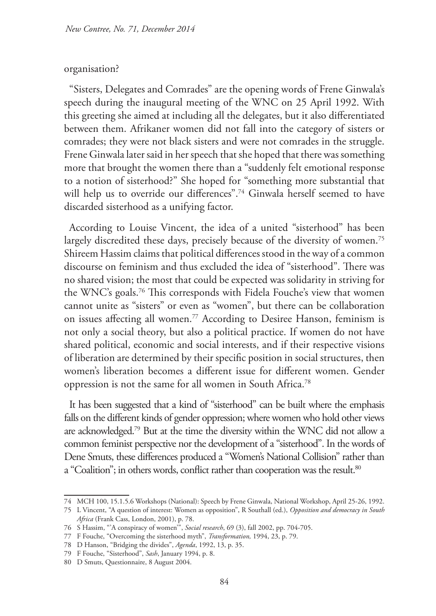#### organisation?

"Sisters, Delegates and Comrades" are the opening words of Frene Ginwala's speech during the inaugural meeting of the WNC on 25 April 1992. With this greeting she aimed at including all the delegates, but it also differentiated between them. Afrikaner women did not fall into the category of sisters or comrades; they were not black sisters and were not comrades in the struggle. Frene Ginwala later said in her speech that she hoped that there was something more that brought the women there than a "suddenly felt emotional response to a notion of sisterhood?" She hoped for "something more substantial that will help us to override our differences".<sup>74</sup> Ginwala herself seemed to have discarded sisterhood as a unifying factor.

According to Louise Vincent, the idea of a united "sisterhood" has been largely discredited these days, precisely because of the diversity of women.<sup>75</sup> Shireem Hassim claims that political differences stood in the way of a common discourse on feminism and thus excluded the idea of "sisterhood". There was no shared vision; the most that could be expected was solidarity in striving for the WNC's goals.76 This corresponds with Fidela Fouche's view that women cannot unite as "sisters" or even as "women", but there can be collaboration on issues affecting all women.77 According to Desiree Hanson, feminism is not only a social theory, but also a political practice. If women do not have shared political, economic and social interests, and if their respective visions of liberation are determined by their specific position in social structures, then women's liberation becomes a different issue for different women. Gender oppression is not the same for all women in South Africa.78

It has been suggested that a kind of "sisterhood" can be built where the emphasis falls on the different kinds of gender oppression; where women who hold other views are acknowledged.79 But at the time the diversity within the WNC did not allow a common feminist perspective nor the development of a "sisterhood". In the words of Dene Smuts, these differences produced a "Women's National Collision" rather than a "Coalition"; in others words, conflict rather than cooperation was the result.<sup>80</sup>

<sup>74</sup> MCH 100, 15.1.5.6 Workshops (National): Speech by Frene Ginwala, National Workshop, April 25-26, 1992.

<sup>75</sup> L Vincent, "A question of interest: Women as opposition", R Southall (ed.), *Opposition and democracy in South Africa* (Frank Cass, London, 2001), p. 78.

<sup>76</sup> S Hassim, "'A conspiracy of women'", *Social research*, 69 (3), fall 2002, pp. 704-705.

<sup>77</sup> F Fouche, "Overcoming the sisterhood myth", *Transformation,* 1994, 23, p. 79.

<sup>78</sup> D Hanson, "Bridging the divides", *Agenda*, 1992, 13, p. 35.

<sup>79</sup> F Fouche, "Sisterhood", *Sash*, January 1994, p. 8.

<sup>80</sup> D Smuts, Questionnaire, 8 August 2004.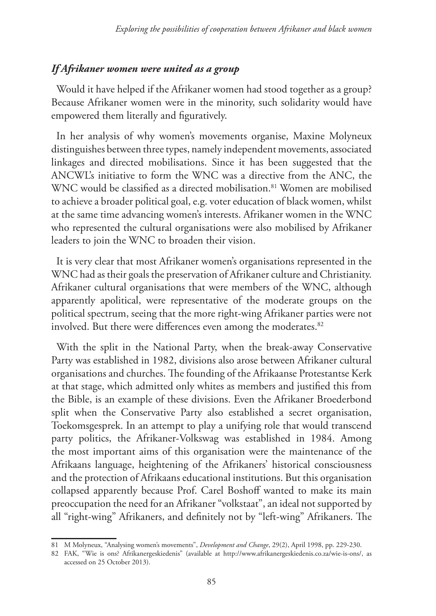### *If Afrikaner women were united as a group*

Would it have helped if the Afrikaner women had stood together as a group? Because Afrikaner women were in the minority, such solidarity would have empowered them literally and figuratively.

In her analysis of why women's movements organise, Maxine Molyneux distinguishes between three types, namely independent movements, associated linkages and directed mobilisations. Since it has been suggested that the ANCWL's initiative to form the WNC was a directive from the ANC, the WNC would be classified as a directed mobilisation.<sup>81</sup> Women are mobilised to achieve a broader political goal, e.g. voter education of black women, whilst at the same time advancing women's interests. Afrikaner women in the WNC who represented the cultural organisations were also mobilised by Afrikaner leaders to join the WNC to broaden their vision.

It is very clear that most Afrikaner women's organisations represented in the WNC had as their goals the preservation of Afrikaner culture and Christianity. Afrikaner cultural organisations that were members of the WNC, although apparently apolitical, were representative of the moderate groups on the political spectrum, seeing that the more right-wing Afrikaner parties were not involved. But there were differences even among the moderates.<sup>82</sup>

With the split in the National Party, when the break-away Conservative Party was established in 1982, divisions also arose between Afrikaner cultural organisations and churches. The founding of the Afrikaanse Protestantse Kerk at that stage, which admitted only whites as members and justified this from the Bible, is an example of these divisions. Even the Afrikaner Broederbond split when the Conservative Party also established a secret organisation, Toekomsgesprek. In an attempt to play a unifying role that would transcend party politics, the Afrikaner-Volkswag was established in 1984. Among the most important aims of this organisation were the maintenance of the Afrikaans language, heightening of the Afrikaners' historical consciousness and the protection of Afrikaans educational institutions. But this organisation collapsed apparently because Prof. Carel Boshoff wanted to make its main preoccupation the need for an Afrikaner "volkstaat", an ideal not supported by all "right-wing" Afrikaners, and definitely not by "left-wing" Afrikaners. The

<sup>81</sup> M Molyneux, "Analysing women's movements", *Development and Change*, 29(2), April 1998, pp. 229-230.

<sup>82</sup> FAK, "Wie is ons? Afrikanergeskiedenis" (available at http://www.afrikanergeskiedenis.co.za/wie-is-ons/, as accessed on 25 October 2013).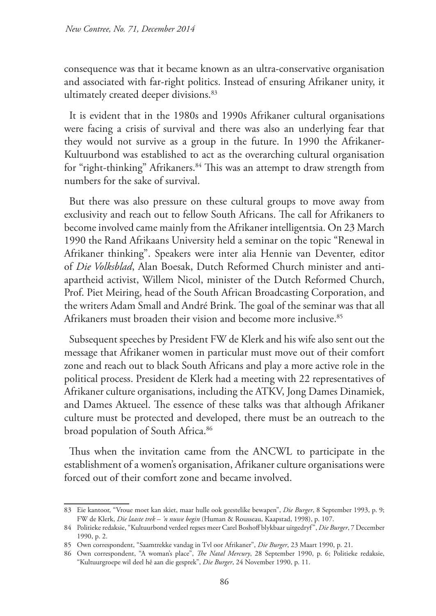consequence was that it became known as an ultra-conservative organisation and associated with far-right politics. Instead of ensuring Afrikaner unity, it ultimately created deeper divisions.<sup>83</sup>

It is evident that in the 1980s and 1990s Afrikaner cultural organisations were facing a crisis of survival and there was also an underlying fear that they would not survive as a group in the future. In 1990 the Afrikaner-Kultuurbond was established to act as the overarching cultural organisation for "right-thinking" Afrikaners.<sup>84</sup> This was an attempt to draw strength from numbers for the sake of survival.

But there was also pressure on these cultural groups to move away from exclusivity and reach out to fellow South Africans. The call for Afrikaners to become involved came mainly from the Afrikaner intelligentsia. On 23 March 1990 the Rand Afrikaans University held a seminar on the topic "Renewal in Afrikaner thinking". Speakers were inter alia Hennie van Deventer, editor of *Die Volksblad*, Alan Boesak, Dutch Reformed Church minister and antiapartheid activist, Willem Nicol, minister of the Dutch Reformed Church, Prof. Piet Meiring, head of the South African Broadcasting Corporation, and the writers Adam Small and André Brink. The goal of the seminar was that all Afrikaners must broaden their vision and become more inclusive.<sup>85</sup>

Subsequent speeches by President FW de Klerk and his wife also sent out the message that Afrikaner women in particular must move out of their comfort zone and reach out to black South Africans and play a more active role in the political process. President de Klerk had a meeting with 22 representatives of Afrikaner culture organisations, including the ATKV, Jong Dames Dinamiek, and Dames Aktueel. The essence of these talks was that although Afrikaner culture must be protected and developed, there must be an outreach to the broad population of South Africa.<sup>86</sup>

Thus when the invitation came from the ANCWL to participate in the establishment of a women's organisation, Afrikaner culture organisations were forced out of their comfort zone and became involved.

<sup>83</sup> Eie kantoor, "Vroue moet kan skiet, maar hulle ook geestelike bewapen", *Die Burger*, 8 September 1993, p. 9; FW de Klerk, *Die laaste trek – 'n nuwe begin* (Human & Rousseau, Kaapstad, 1998), p. 107.

<sup>84</sup> Politieke redaksie, "Kultuurbond verdeel regses meer Carel Boshoff blykbaar uitgedryf", *Die Burger*, 7 December 1990, p. 2.

<sup>85</sup> Own correspondent, "Saamtrekke vandag in Tvl oor Afrikaner", *Die Burger*, 23 Maart 1990, p. 21.

<sup>86</sup> Own correspondent, "A woman's place", *The Natal Mercury*, 28 September 1990, p. 6; Politieke redaksie, "Kultuurgroepe wil deel hê aan die gesprek", *Die Burger*, 24 November 1990, p. 11.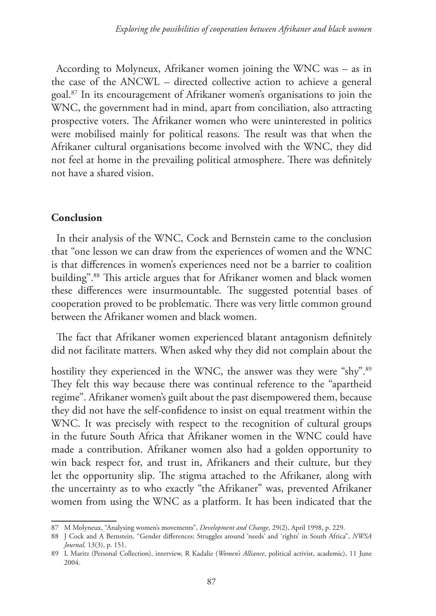According to Molyneux, Afrikaner women joining the WNC was – as in the case of the ANCWL – directed collective action to achieve a general goal.87 In its encouragement of Afrikaner women's organisations to join the WNC, the government had in mind, apart from conciliation, also attracting prospective voters. The Afrikaner women who were uninterested in politics were mobilised mainly for political reasons. The result was that when the Afrikaner cultural organisations become involved with the WNC, they did not feel at home in the prevailing political atmosphere. There was definitely not have a shared vision.

### **Conclusion**

In their analysis of the WNC, Cock and Bernstein came to the conclusion that "one lesson we can draw from the experiences of women and the WNC is that differences in women's experiences need not be a barrier to coalition building".88 This article argues that for Afrikaner women and black women these differences were insurmountable. The suggested potential bases of cooperation proved to be problematic. There was very little common ground between the Afrikaner women and black women.

The fact that Afrikaner women experienced blatant antagonism definitely did not facilitate matters. When asked why they did not complain about the

hostility they experienced in the WNC, the answer was they were "shy".<sup>89</sup> They felt this way because there was continual reference to the "apartheid regime". Afrikaner women's guilt about the past disempowered them, because they did not have the self-confidence to insist on equal treatment within the WNC. It was precisely with respect to the recognition of cultural groups in the future South Africa that Afrikaner women in the WNC could have made a contribution. Afrikaner women also had a golden opportunity to win back respect for, and trust in, Afrikaners and their culture, but they let the opportunity slip. The stigma attached to the Afrikaner, along with the uncertainty as to who exactly "the Afrikaner" was, prevented Afrikaner women from using the WNC as a platform. It has been indicated that the

<sup>87</sup> M Molyneux, "Analysing women's movements", *Development and Change*, 29(2), April 1998, p. 229.

<sup>88</sup> J Cock and A Bernstein, "Gender differences: Struggles around 'needs' and 'rights' in South Africa", *NWSA Journal,* 13(3), p. 151.

<sup>89</sup> L Maritz (Personal Collection), interview, R Kadalie (*Women's Alliance*, political activist, academic), 11 June 2004.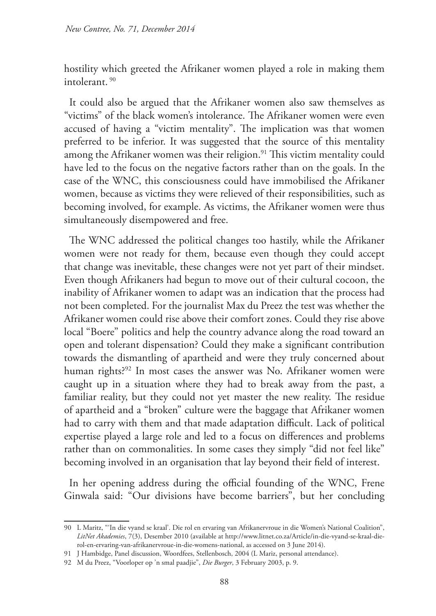hostility which greeted the Afrikaner women played a role in making them intolerant. 90

It could also be argued that the Afrikaner women also saw themselves as "victims" of the black women's intolerance. The Afrikaner women were even accused of having a "victim mentality". The implication was that women preferred to be inferior. It was suggested that the source of this mentality among the Afrikaner women was their religion.<sup>91</sup> This victim mentality could have led to the focus on the negative factors rather than on the goals. In the case of the WNC, this consciousness could have immobilised the Afrikaner women, because as victims they were relieved of their responsibilities, such as becoming involved, for example. As victims, the Afrikaner women were thus simultaneously disempowered and free.

The WNC addressed the political changes too hastily, while the Afrikaner women were not ready for them, because even though they could accept that change was inevitable, these changes were not yet part of their mindset. Even though Afrikaners had begun to move out of their cultural cocoon, the inability of Afrikaner women to adapt was an indication that the process had not been completed. For the journalist Max du Preez the test was whether the Afrikaner women could rise above their comfort zones. Could they rise above local "Boere" politics and help the country advance along the road toward an open and tolerant dispensation? Could they make a significant contribution towards the dismantling of apartheid and were they truly concerned about human rights?<sup>92</sup> In most cases the answer was No. Afrikaner women were caught up in a situation where they had to break away from the past, a familiar reality, but they could not yet master the new reality. The residue of apartheid and a "broken" culture were the baggage that Afrikaner women had to carry with them and that made adaptation difficult. Lack of political expertise played a large role and led to a focus on differences and problems rather than on commonalities. In some cases they simply "did not feel like" becoming involved in an organisation that lay beyond their field of interest.

In her opening address during the official founding of the WNC, Frene Ginwala said: "Our divisions have become barriers", but her concluding

<sup>90</sup> L Maritz, "'In die vyand se kraal'. Die rol en ervaring van Afrikanervroue in die Women's National Coalition", *LitNet Akademies*, 7(3), Desember 2010 (available at http://www.litnet.co.za/Article/in-die-vyand-se-kraal-dierol-en-ervaring-van-afrikanervroue-in-die-womens-national, as accessed on 3 June 2014).

<sup>91</sup> J Hambidge, Panel discussion, Woordfees, Stellenbosch, 2004 (L Mariz, personal attendance).

<sup>92</sup> M du Preez, "Voorloper op 'n smal paadjie", *Die Burger*, 3 February 2003, p. 9.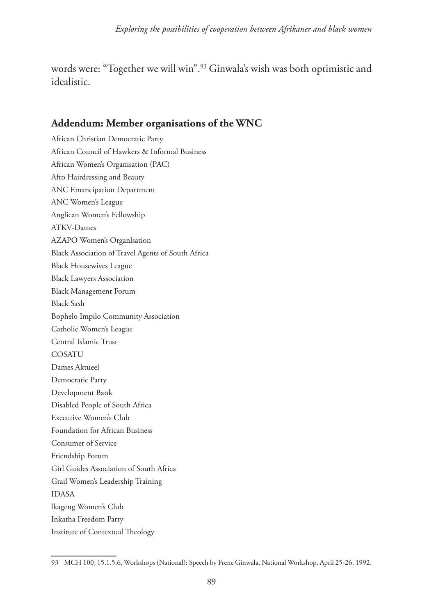words were: "Together we will win".93 Ginwala's wish was both optimistic and idealistic.

# **Addendum: Member organisations of the WNC**

African Christian Democratic Party African Council of Hawkers & Informal Business African Women's Organisation (PAC) Afro Hairdressing and Beauty ANC Emancipation Department ANC Women's League Anglican Women's Fellowship ATKV-Dames AZAPO Women's Organlsation Black Association of Travel Agents of South Africa Black Housewives League Black Lawyers Association Black Management Forum Black Sash Bophelo Impilo Community Association Catholic Women's League Central Islamic Trust **COSATU** Dames Aktueel Democratic Party Development Bank Disabled People of South Africa Executive Women's Club Foundation for African Business Consumer of Service Friendship Forum Girl Guides Association of South Africa Grail Women's Leadership Training IDASA lkageng Women's Club Inkatha Freedom Party Institute of Contextual Theology

<sup>93</sup> MCH 100, 15.1.5.6, Workshops (National): Speech by Frene Ginwala, National Workshop, April 25-26, 1992.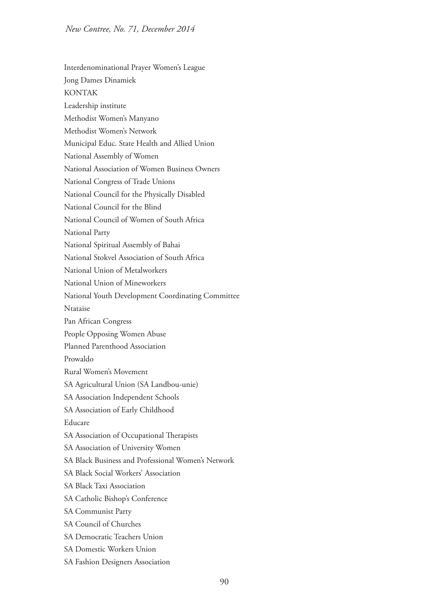- Interdenominational Prayer Women's League Jong Dames Dinamiek KONTAK Leadership institute Methodist Women's Manyano Methodist Women's Network Municipal Educ. State Health and Allied Union National Assembly of Women National Association of Women Business Owners National Congress of Trade Unions National Council for the Physically Disabled National Council for the Blind National Council of Women of South Africa National Party National Spiritual Assembly of Bahai National Stokvel Association of South Africa National Union of Metalworkers National Union of Mineworkers National Youth Development Coordinating Committee Ntataise Pan African Congress People Opposing Women Abuse Planned Parenthood Association Prowaldo Rural Women's Movement SA Agricultural Union (SA Landbou-unie) SA Association Independent Schools SA Association of Early Childhood Educare SA Association of Occupational Therapists SA Association of University Women SA Black Business and Professional Women's Network SA Black Social Workers' Association SA Black Taxi Association SA Catholic Bishop's Conference SA Communist Party SA Council of Churches SA Democratic Teachers Union SA Domestic Workers Union
- SA Fashion Designers Association